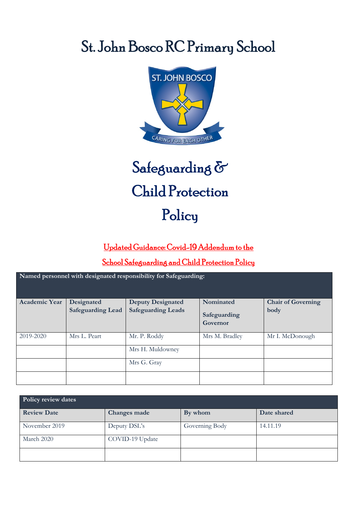# St. John Bosco RC Primary School



## l Safeguarding & Child Protection Policy

## Updated Guidance: Covid-19 Addendum to the

### School Safeguarding and Child Protection Policy

| Named personnel with designated responsibility for Safeguarding: |                          |                           |                          |                           |  |  |
|------------------------------------------------------------------|--------------------------|---------------------------|--------------------------|---------------------------|--|--|
| <b>Academic Year</b>                                             | Designated               | <b>Deputy Designated</b>  | Nominated                | <b>Chair of Governing</b> |  |  |
|                                                                  | <b>Safeguarding Lead</b> | <b>Safeguarding Leads</b> | Safeguarding<br>Governor | body                      |  |  |
| 2019-2020                                                        | Mrs L. Peart             | Mr. P. Roddy              | Mrs M. Bradley           | Mr I. McDonough           |  |  |
|                                                                  |                          | Mrs H. Muldowney          |                          |                           |  |  |
|                                                                  |                          | Mrs G. Gray               |                          |                           |  |  |
|                                                                  |                          |                           |                          |                           |  |  |

| Policy review dates |                     |                |             |  |  |
|---------------------|---------------------|----------------|-------------|--|--|
| <b>Review Date</b>  | <b>Changes made</b> | By whom        | Date shared |  |  |
| November 2019       | Deputy DSL's        | Governing Body | 14.11.19    |  |  |
| March 2020          | COVID-19 Update     |                |             |  |  |
|                     |                     |                |             |  |  |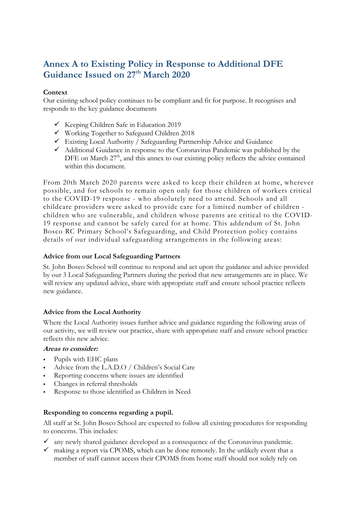## **Annex A to Existing Policy in Response to Additional DFE**  Guidance Issued on 27<sup>th</sup> March 2020

#### **Context**

Our existing school policy continues to be compliant and fit for purpose. It recognises and responds to the key guidance documents

- $\checkmark$  Keeping Children Safe in Education 2019
- $\checkmark$  Working Together to Safeguard Children 2018
- $\checkmark$  Existing Local Authority / Safeguarding Partnership Advice and Guidance
- $\checkmark$  Additional Guidance in response to the Coronavirus Pandemic was published by the DFE on March  $27<sup>th</sup>$ , and this annex to our existing policy reflects the advice contained within this document.

From 20th March 2020 parents were asked to keep their children at home, wherever possible, and for schools to remain open only for those children of workers critical to the COVID-19 response - who absolutely need to attend. Schools and all childcare providers were asked to provide care for a limited number of children children who are vulnerable, and children whose parents are critical to the COVID-19 response and cannot be safely cared for at home. This addendum of St. John Bosco RC Primary School's Safeguarding, and Child Protection policy contains details of our individual safeguarding arrangements in the following areas:

#### **Advice from our Local Safeguarding Partners**

St. John Bosco School will continue to respond and act upon the guidance and advice provided by our 3 Local Safeguarding Partners during the period that new arrangements are in place. We will review any updated advice, share with appropriate staff and ensure school practice reflects new guidance.

#### **Advice from the Local Authority**

Where the Local Authority issues further advice and guidance regarding the following areas of our activity, we will review our practice, share with appropriate staff and ensure school practice reflects this new advice.

#### **Areas to consider:**

- Pupils with EHC plans
- Advice from the L.A.D.O / Children's Social Care
- Reporting concerns where issues are identified
- Changes in referral thresholds
- Response to those identified as Children in Need

#### **Responding to concerns regarding a pupil.**

All staff at St. John Bosco School are expected to follow all existing procedures for responding to concerns. This includes:

- $\checkmark$  any newly shared guidance developed as a consequence of the Coronavirus pandemic.
- $\checkmark$  making a report via CPOMS, which can be done remotely. In the unlikely event that a member of staff cannot access their CPOMS from home staff should not solely rely on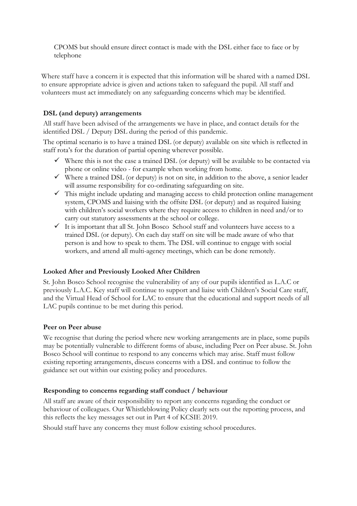CPOMS but should ensure direct contact is made with the DSL either face to face or by telephone

Where staff have a concern it is expected that this information will be shared with a named DSL to ensure appropriate advice is given and actions taken to safeguard the pupil. All staff and volunteers must act immediately on any safeguarding concerns which may be identified.

#### **DSL (and deputy) arrangements**

All staff have been advised of the arrangements we have in place, and contact details for the identified DSL / Deputy DSL during the period of this pandemic.

The optimal scenario is to have a trained DSL (or deputy) available on site which is reflected in staff rota's for the duration of partial opening wherever possible.

- $\checkmark$  Where this is not the case a trained DSL (or deputy) will be available to be contacted via phone or online video - for example when working from home.
- Where a trained DSL (or deputy) is not on site, in addition to the above, a senior leader will assume responsibility for co-ordinating safeguarding on site.
- $\checkmark$  This might include updating and managing access to child protection online management system, CPOMS and liaising with the offsite DSL (or deputy) and as required liaising with children's social workers where they require access to children in need and/or to carry out statutory assessments at the school or college.
- $\checkmark$  It is important that all St. John Bosco School staff and volunteers have access to a trained DSL (or deputy). On each day staff on site will be made aware of who that person is and how to speak to them. The DSL will continue to engage with social workers, and attend all multi-agency meetings, which can be done remotely.

#### **Looked After and Previously Looked After Children**

St. John Bosco School recognise the vulnerability of any of our pupils identified as L.A.C or previously L.A.C. Key staff will continue to support and liaise with Children's Social Care staff, and the Virtual Head of School for LAC to ensure that the educational and support needs of all LAC pupils continue to be met during this period.

#### **Peer on Peer abuse**

We recognise that during the period where new working arrangements are in place, some pupils may be potentially vulnerable to different forms of abuse, including Peer on Peer abuse. St. John Bosco School will continue to respond to any concerns which may arise. Staff must follow existing reporting arrangements, discuss concerns with a DSL and continue to follow the guidance set out within our existing policy and procedures.

#### **Responding to concerns regarding staff conduct / behaviour**

All staff are aware of their responsibility to report any concerns regarding the conduct or behaviour of colleagues. Our Whistleblowing Policy clearly sets out the reporting process, and this reflects the key messages set out in Part 4 of KCSIE 2019.

Should staff have any concerns they must follow existing school procedures.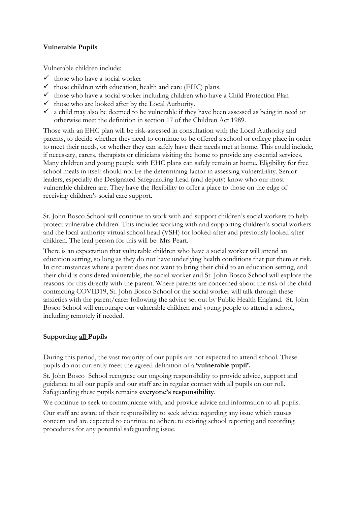#### **Vulnerable Pupils**

Vulnerable children include:

- $\checkmark$  those who have a social worker
- $\checkmark$  those children with education, health and care (EHC) plans.
- $\checkmark$  those who have a social worker including children who have a Child Protection Plan
- $\checkmark$  those who are looked after by the Local Authority.
- $\checkmark$  a child may also be deemed to be vulnerable if they have been assessed as being in need or otherwise meet the definition in section 17 of the Children Act 1989.

Those with an EHC plan will be risk-assessed in consultation with the Local Authority and parents, to decide whether they need to continue to be offered a school or college place in order to meet their needs, or whether they can safely have their needs met at home. This could include, if necessary, carers, therapists or clinicians visiting the home to provide any essential services. Many children and young people with EHC plans can safely remain at home. Eligibility for free school meals in itself should not be the determining factor in assessing vulnerability. Senior leaders, especially the Designated Safeguarding Lead (and deputy) know who our most vulnerable children are. They have the flexibility to offer a place to those on the edge of receiving children's social care support.

St. John Bosco School will continue to work with and support children's social workers to help protect vulnerable children. This includes working with and supporting children's social workers and the local authority virtual school head (VSH) for looked-after and previously looked-after children. The lead person for this will be: Mrs Peart.

There is an expectation that vulnerable children who have a social worker will attend an education setting, so long as they do not have underlying health conditions that put them at risk. In circumstances where a parent does not want to bring their child to an education setting, and their child is considered vulnerable, the social worker and St. John Bosco School will explore the reasons for this directly with the parent. Where parents are concerned about the risk of the child contracting COVID19, St. John Bosco School or the social worker will talk through these anxieties with the parent/carer following the advice set out by Public Health England. St. John Bosco School will encourage our vulnerable children and young people to attend a school, including remotely if needed.

#### **Supporting all Pupils**

During this period, the vast majority of our pupils are not expected to attend school. These pupils do not currently meet the agreed definition of a **'vulnerable pupil'.**

St. John Bosco School recognise our ongoing responsibility to provide advice, support and guidance to all our pupils and our staff are in regular contact with all pupils on our roll. Safeguarding these pupils remains **everyone's responsibility**.

We continue to seek to communicate with, and provide advice and information to all pupils.

Our staff are aware of their responsibility to seek advice regarding any issue which causes concern and are expected to continue to adhere to existing school reporting and recording procedures for any potential safeguarding issue.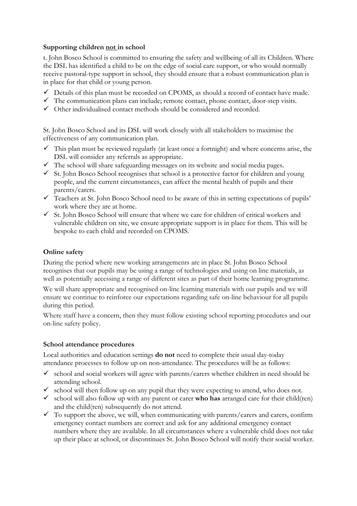#### **Supporting children not in school**

t. John Bosco School is committed to ensuring the safety and wellbeing of all its Children. Where the DSL has identified a child to be on the edge of social care support, or who would normally receive pastoral-type support in school, they should ensure that a robust communication plan is in place for that child or young person.

- $\checkmark$  Details of this plan must be recorded on CPOMS, as should a record of contact have made.
- $\checkmark$  The communication plans can include; remote contact, phone contact, door-step visits.
- $\checkmark$  Other individualised contact methods should be considered and recorded.

St. John Bosco School and its DSL will work closely with all stakeholders to maximise the effectiveness of any communication plan.

- $\checkmark$  This plan must be reviewed regularly (at least once a fortnight) and where concerns arise, the DSL will consider any referrals as appropriate.
- $\checkmark$  The school will share safeguarding messages on its website and social media pages.
- $\checkmark$  St. John Bosco School recognises that school is a protective factor for children and young people, and the current circumstances, can affect the mental health of pupils and their parents/carers.
- $\checkmark$  Teachers at St. John Bosco School need to be aware of this in setting expectations of pupils' work where they are at home.
- $\checkmark$  St. John Bosco School will ensure that where we care for children of critical workers and vulnerable children on site, we ensure appropriate support is in place for them. This will be bespoke to each child and recorded on CPOMS.

#### **Online safety**

During the period where new working arrangements are in place St. John Bosco School recognises that our pupils may be using a range of technologies and using on line materials, as well as potentially accessing a range of different sites as part of their home learning programme.

We will share appropriate and recognised on-line learning materials with our pupils and we will ensure we continue to reinforce our expectations regarding safe on-line behaviour for all pupils during this period.

Where staff have a concern, then they must follow existing school reporting procedures and our on-line safety policy.

#### **School attendance procedures**

Local authorities and education settings **do not** need to complete their usual day-today attendance processes to follow up on non-attendance. The procedures will be as follows:

- $\checkmark$  school and social workers will agree with parents/carers whether children in need should be attending school.
- $\checkmark$  school will then follow up on any pupil that they were expecting to attend, who does not.
- $\checkmark$  school will also follow up with any parent or carer **who has** arranged care for their child(ren) and the child(ren) subsequently do not attend.
- $\checkmark$  To support the above, we will, when communicating with parents/carers and carers, confirm emergency contact numbers are correct and ask for any additional emergency contact numbers where they are available. In all circumstances where a vulnerable child does not take up their place at school, or discontinues St. John Bosco School will notify their social worker.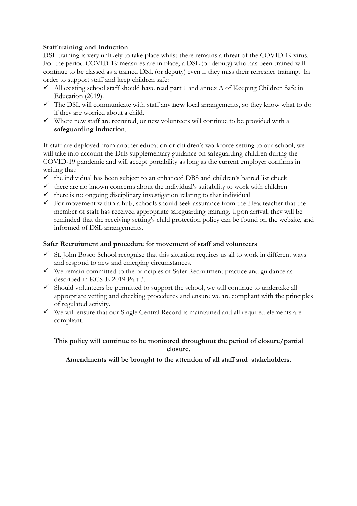#### **Staff training and Induction**

DSL training is very unlikely to take place whilst there remains a threat of the COVID 19 virus. For the period COVID-19 measures are in place, a DSL (or deputy) who has been trained will continue to be classed as a trained DSL (or deputy) even if they miss their refresher training. In order to support staff and keep children safe:

- $\checkmark$  All existing school staff should have read part 1 and annex A of Keeping Children Safe in Education<sup>(2019)</sup>.
- The DSL will communicate with staff any **new** local arrangements, so they know what to do if they are worried about a child.
- $\checkmark$  Where new staff are recruited, or new volunteers will continue to be provided with a **safeguarding induction**.

If staff are deployed from another education or children's workforce setting to our school, we will take into account the DfE supplementary guidance on safeguarding children during the COVID-19 pandemic and will accept portability as long as the current employer confirms in writing that:

- $\checkmark$  the individual has been subject to an enhanced DBS and children's barred list check
- $\checkmark$  there are no known concerns about the individual's suitability to work with children
- $\checkmark$  there is no ongoing disciplinary investigation relating to that individual
- $\checkmark$  For movement within a hub, schools should seek assurance from the Headteacher that the member of staff has received appropriate safeguarding training. Upon arrival, they will be reminded that the receiving setting's child protection policy can be found on the website, and informed of DSL arrangements.

#### **Safer Recruitment and procedure for movement of staff and volunteers**

- $\checkmark$  St. John Bosco School recognise that this situation requires us all to work in different ways and respond to new and emerging circumstances.
- $\checkmark$  We remain committed to the principles of Safer Recruitment practice and guidance as described in KCSIE 2019 Part 3.
- $\checkmark$  Should volunteers be permitted to support the school, we will continue to undertake all appropriate vetting and checking procedures and ensure we are compliant with the principles of regulated activity.
- $\checkmark$  We will ensure that our Single Central Record is maintained and all required elements are compliant.

**This policy will continue to be monitored throughout the period of closure/partial closure.** 

**Amendments will be brought to the attention of all staff and stakeholders.**